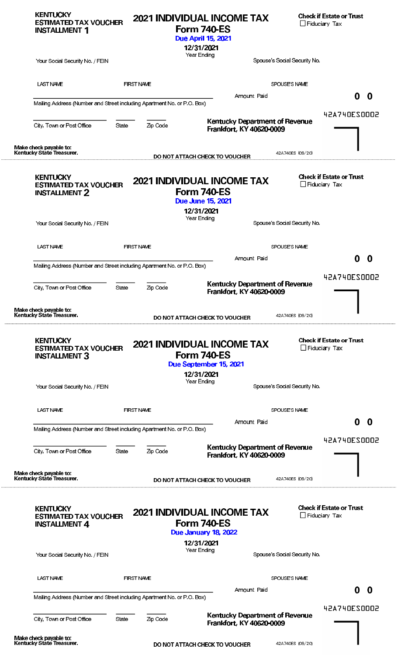| <b>KENTUCKY</b><br><b>ESTIMATED TAX VOUCHER</b><br><b>INSTALLMENT 1</b>                                |                   |          | <b>2021 INDIVIDUAL INCOME TAX</b><br>Form 740-ES<br><b>Due April 15, 2021</b>                 |                              | <b>Check if Estate or Trust</b><br>$\Box$ Fiduciary Tax |                     |
|--------------------------------------------------------------------------------------------------------|-------------------|----------|-----------------------------------------------------------------------------------------------|------------------------------|---------------------------------------------------------|---------------------|
| Your Social Security No. / FEIN                                                                        |                   |          | 12/31/2021<br>Year Ending                                                                     | Spouse's Social Security No. |                                                         |                     |
|                                                                                                        |                   |          |                                                                                               |                              |                                                         |                     |
| <b>LAST NAME</b>                                                                                       | <b>FIRST NAME</b> |          |                                                                                               | SPOUSE'S NAME                |                                                         |                     |
| Mailing Address (Number and Street including Apartment No. or P.O. Box)                                |                   |          | Amount Paid                                                                                   |                              |                                                         | 0<br>0              |
| City, Town or Post Office                                                                              | State             | Zip Code | <b>Kentucky Department of Revenue</b>                                                         |                              |                                                         | <b>42A740ES0002</b> |
|                                                                                                        |                   |          | Frankfort, KY 40620-0009                                                                      |                              |                                                         |                     |
| Make check payable to:<br>Kentucky State Treasurer.                                                    |                   |          | DO NOT ATTACH CHECK TO VOUCHER                                                                | 42A740ES (09/20)             |                                                         |                     |
| <b>KENTUCKY</b><br><b>ESTIMATED TAX VOUCHER</b><br><b>INSTALLMENT 2</b>                                |                   |          | <b>2021 INDIVIDUAL INCOME TAX</b><br>Form 740-ES<br><b>Due June 15, 2021</b>                  |                              | <b>Check if Estate or Trust</b><br>$\Box$ Fiduciary Tax |                     |
| Your Social Security No. / FEIN                                                                        |                   |          | 12/31/2021<br>Year Ending                                                                     | Spouse's Social Security No. |                                                         |                     |
| <b>LAST NAME</b>                                                                                       | <b>FIRST NAME</b> |          |                                                                                               | SPOUSE'S NAME                |                                                         |                     |
|                                                                                                        |                   |          | Amount Paid                                                                                   |                              |                                                         | 0<br>$\bf{0}$       |
| Mailing Address (Number and Street including Apartment No. or P.O. Box)                                |                   |          |                                                                                               |                              |                                                         | <b>42A740ES0002</b> |
| City, Town or Post Office                                                                              | State             | Zip Code | <b>Kentucky Department of Revenue</b><br>Frankfort, KY 40620-0009                             |                              |                                                         |                     |
|                                                                                                        |                   |          |                                                                                               |                              |                                                         |                     |
| Make check payable to:<br>Kentucky State Treasurer.<br><b>KENTUCKY</b><br><b>ESTIMATED TAX VOUCHER</b> |                   |          | DO NOT ATTACH CHECK TO VOUCHER<br><b>2021 INDIVIDUAL INCOME TAX</b>                           | 42A740ES (09/20)             | <b>Check if Estate or Trust</b><br>$\Box$ Fiduciary Tax |                     |
| <b>INSTALLMENT 3</b><br>Your Social Security No. / FEIN                                                |                   |          | <b>Form 740-ES</b><br>Due September 15, 2021<br>12/31/2021<br>Year Ending                     | Spouse's Social Security No. |                                                         |                     |
|                                                                                                        |                   |          |                                                                                               |                              |                                                         |                     |
| <b>LAST NAME</b>                                                                                       | <b>FIRST NAME</b> |          | Amount Paid                                                                                   | SPOUSE'S NAME                |                                                         | 0                   |
| Mailing Address (Number and Street including Apartment No. or P.O. Box)                                |                   |          |                                                                                               |                              |                                                         | - 0                 |
| City, Town or Post Office                                                                              | State             | Zip Code | <b>Kentucky Department of Revenue</b><br>Frankfort, KY 40620-0009                             |                              |                                                         | 42A740ES0002        |
| Make check payable to:<br>Kentucky State Treasurer.                                                    |                   |          | DO NOT ATTACH CHECK TO VOUCHER                                                                | 42A740ES (09/20)             |                                                         |                     |
| <b>KENTUCKY</b><br><b>ESTIMATED TAX VOUCHER</b><br><b>INSTALLMENT 4</b>                                |                   |          | <b>2021 INDIVIDUAL INCOME TAX</b><br><b>Form 740-ES</b><br>Due January 18, 2022<br>12/31/2021 |                              | <b>Check if Estate or Trust</b><br>$\Box$ Fiduciary Tax |                     |
| Your Social Security No. / FEIN                                                                        |                   |          | Year Ending                                                                                   | Spouse's Social Security No. |                                                         |                     |
| LAST NAME                                                                                              | <b>FIRST NAME</b> |          |                                                                                               | SPOUSE'S NAME                |                                                         |                     |
| Mailing Address (Number and Street including Apartment No. or P.O. Box)                                |                   |          |                                                                                               | Amount Paid                  |                                                         | $0\quad 0$          |
| City, Town or Post Office                                                                              | State             | Zip Code | <b>Kentucky Department of Revenue</b><br>Frankfort, KY 40620-0009                             |                              |                                                         | 42A740ES0002        |

Make check payable to:<br>Kentucky State Treasurer.

 $\ddot{\phantom{a}}$ 

......

DO NOT ATTACH CHECK TO VOUCHER

42A740ES (09/20)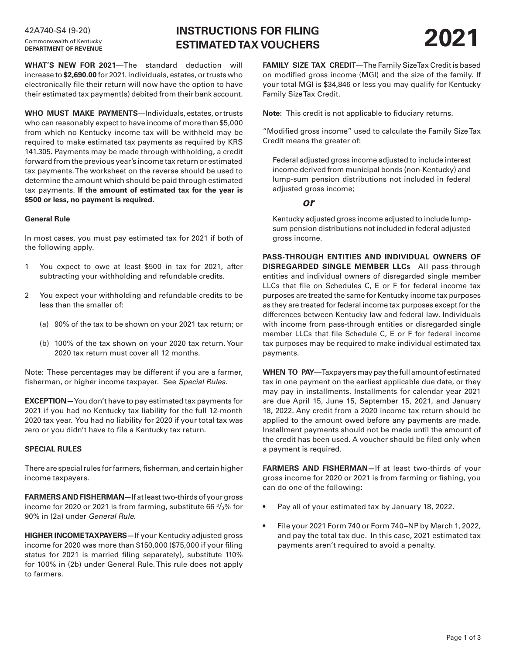# Commonwealth of Kentucky **DEPARTMENT OF REVENUE**

**INSTRUCTIONS FOR FILING ESTIMATED TAX VOUCHERS 2021** 42A740-S4 (9-20)

**WHAT'S NEW FOR 2021**—The standard deduction will increase to **\$2,690.00** for 2021. Individuals, estates, or trusts who electronically file their return will now have the option to have their estimated tax payment(s) debited from their bank account.

**WHO MUST MAKE PAYMENTS**—Individuals, estates, or trusts who can reasonably expect to have income of more than \$5,000 from which no Kentucky income tax will be withheld may be required to make estimated tax payments as required by KRS 141.305. Payments may be made through withholding, a credit forward from the previous year's income tax return or estimated tax payments. The worksheet on the reverse should be used to determine the amount which should be paid through estimated tax payments. **If the amount of estimated tax for the year is \$500 or less, no payment is required.**

#### **General Rule**

In most cases, you must pay estimated tax for 2021 if both of the following apply.

- 1 You expect to owe at least \$500 in tax for 2021, after subtracting your withholding and refundable credits.
- 2 You expect your withholding and refundable credits to be less than the smaller of:
	- (a) 90% of the tax to be shown on your 2021 tax return; or
	- (b) 100% of the tax shown on your 2020 tax return. Your 2020 tax return must cover all 12 months.

Note: These percentages may be different if you are a farmer, fisherman, or higher income taxpayer. See *Special Rules*.

**EXCEPTION—**You don't have to pay estimated tax payments for 2021 if you had no Kentucky tax liability for the full 12-month 2020 tax year. You had no liability for 2020 if your total tax was zero or you didn't have to file a Kentucky tax return.

#### **SPECIAL RULES**

There are special rules for farmers, fisherman, and certain higher income taxpayers.

**FARMERS AND FISHERMAN—**If at least two-thirds of your gross income for 2020 or 2021 is from farming, substitute 66  $\frac{2}{3}$ % for 90% in (2a) under *General Rule*.

**HIGHER INCOME TAXPAYERS—**If your Kentucky adjusted gross income for 2020 was more than \$150,000 (\$75,000 if your filing status for 2021 is married filing separately), substitute 110% for 100% in (2b) under General Rule. This rule does not apply to farmers.

**FAMILY SIZE TAX CREDIT**—The Family Size Tax Credit is based on modified gross income (MGI) and the size of the family. If your total MGI is \$34,846 or less you may qualify for Kentucky Family Size Tax Credit.

**Note:** This credit is not applicable to fiduciary returns.

"Modified gross income" used to calculate the Family Size Tax Credit means the greater of:

Federal adjusted gross income adjusted to include interest income derived from municipal bonds (non-Kentucky) and lump-sum pension distributions not included in federal adjusted gross income;

### *or*

Kentucky adjusted gross income adjusted to include lumpsum pension distributions not included in federal adjusted gross income.

**PASS-THROUGH ENTITIES AND INDIVIDUAL OWNERS OF DISREGARDED SINGLE MEMBER LLCs**—All pass-through entities and individual owners of disregarded single member LLCs that file on Schedules C, E or F for federal income tax purposes are treated the same for Kentucky income tax purposes as they are treated for federal income tax purposes except for the differences between Kentucky law and federal law. Individuals with income from pass-through entities or disregarded single member LLCs that file Schedule C, E or F for federal income tax purposes may be required to make individual estimated tax payments.

**WHEN TO PAY**—Taxpayers may pay the full amount of estimated tax in one payment on the earliest applicable due date, or they may pay in installments. Installments for calendar year 2021 are due April 15, June 15, September 15, 2021, and January 18, 2022. Any credit from a 2020 income tax return should be applied to the amount owed before any payments are made. Installment payments should not be made until the amount of the credit has been used. A voucher should be filed only when a payment is required.

**FARMERS AND FISHERMAN—**If at least two-thirds of your gross income for 2020 or 2021 is from farming or fishing, you can do one of the following:

- Pay all of your estimated tax by January 18, 2022.
- File your 2021 Form 740 or Form 740–NP by March 1, 2022, and pay the total tax due. In this case, 2021 estimated tax payments aren't required to avoid a penalty.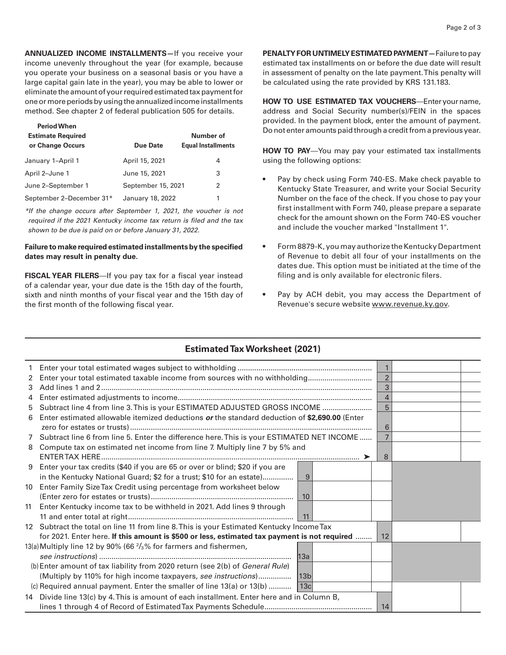**ANNUALIZED INCOME INSTALLMENTS—**If you receive your income unevenly throughout the year (for example, because you operate your business on a seasonal basis or you have a large capital gain late in the year), you may be able to lower or eliminate the amount of your required estimated tax payment for one or more periods by using the annualized income installments method. See chapter 2 of federal publication 505 for details.

| <b>Period When</b><br><b>Estimate Required</b><br>or Change Occurs | Due Date           | Number of<br><b>Equal Installments</b> |
|--------------------------------------------------------------------|--------------------|----------------------------------------|
| January 1-April 1                                                  | April 15, 2021     | 4                                      |
| April 2-June 1                                                     | June 15, 2021      | 3                                      |
| June 2-September 1                                                 | September 15, 2021 | 2                                      |
| September 2-December 31*                                           | January 18, 2022   | 1                                      |

*\*If the change occurs after September 1, 2021, the voucher is not required if the 2021 Kentucky income tax return is filed and the tax shown to be due is paid on or before January 31, 2022.*

### **Failure to make required estimated installments by the specified dates may result in penalty due.**

**FISCAL YEAR FILERS**—If you pay tax for a fiscal year instead of a calendar year, your due date is the 15th day of the fourth, sixth and ninth months of your fiscal year and the 15th day of the first month of the following fiscal year.

**PENALTY FOR UNTIMELY ESTIMATED PAYMENT—**Failure to pay estimated tax installments on or before the due date will result in assessment of penalty on the late payment. This penalty will be calculated using the rate provided by KRS 131.183.

**HOW TO USE ESTIMATED TAX VOUCHERS**—Enter your name, address and Social Security number(s)/FEIN in the spaces provided. In the payment block, enter the amount of payment. Do not enter amounts paid through a credit from a previous year.

**HOW TO PAY**—You may pay your estimated tax installments using the following options:

- Pay by check using Form 740-ES. Make check payable to Kentucky State Treasurer, and write your Social Security Number on the face of the check. If you chose to pay your first installment with Form 740, please prepare a separate check for the amount shown on the Form 740-ES voucher and include the voucher marked "Installment 1".
- Form 8879-K, you may authorize the Kentucky Department of Revenue to debit all four of your installments on the dates due. This option must be initiated at the time of the filing and is only available for electronic filers.
- Pay by ACH debit, you may access the Department of Revenue's secure website www.revenue.ky.gov.

## **Estimated Tax Worksheet (2021)**

|   |                                                                                              | $\mathbf{1}$   |  |
|---|----------------------------------------------------------------------------------------------|----------------|--|
| 2 | Enter your total estimated taxable income from sources with no withholding                   | $\overline{2}$ |  |
| 3 |                                                                                              | 3              |  |
| 4 |                                                                                              | 4              |  |
| 5 | Subtract line 4 from line 3. This is your ESTIMATED ADJUSTED GROSS INCOME                    | 5              |  |
| 6 | Enter estimated allowable itemized deductions or the standard deduction of \$2,690.00 (Enter |                |  |
|   |                                                                                              | 6              |  |
|   | 7 Subtract line 6 from line 5. Enter the difference here. This is your ESTIMATED NET INCOME  |                |  |
|   |                                                                                              |                |  |
| 8 | Compute tax on estimated net income from line 7. Multiply line 7 by 5% and                   |                |  |
|   |                                                                                              | 8              |  |
|   | 9 Enter your tax credits (\$40 if you are 65 or over or blind; \$20 if you are               |                |  |
|   | in the Kentucky National Guard; \$2 for a trust; \$10 for an estate)<br>9                    |                |  |
|   | 10 Enter Family Size Tax Credit using percentage from worksheet below                        |                |  |
|   | 10                                                                                           |                |  |
|   | 11 Enter Kentucky income tax to be withheld in 2021. Add lines 9 through                     |                |  |
|   | 11                                                                                           |                |  |
|   | 12 Subtract the total on line 11 from line 8. This is your Estimated Kentucky Income Tax     |                |  |
|   | for 2021. Enter here. If this amount is \$500 or less, estimated tax payment is not required | 12             |  |
|   | 13(a) Multiply line 12 by 90% (66 $\frac{2}{3}$ % for farmers and fishermen,                 |                |  |
|   |                                                                                              |                |  |
|   | (b) Enter amount of tax liability from 2020 return (see 2(b) of General Rule)                |                |  |
|   | (Multiply by 110% for high income taxpayers, see instructions)<br>13b                        |                |  |
|   | (c) Required annual payment. Enter the smaller of line $13(a)$ or $13(b)$   $13c$            |                |  |
|   | 14 Divide line 13(c) by 4. This is amount of each installment. Enter here and in Column B,   |                |  |
|   |                                                                                              | 14             |  |
|   |                                                                                              |                |  |